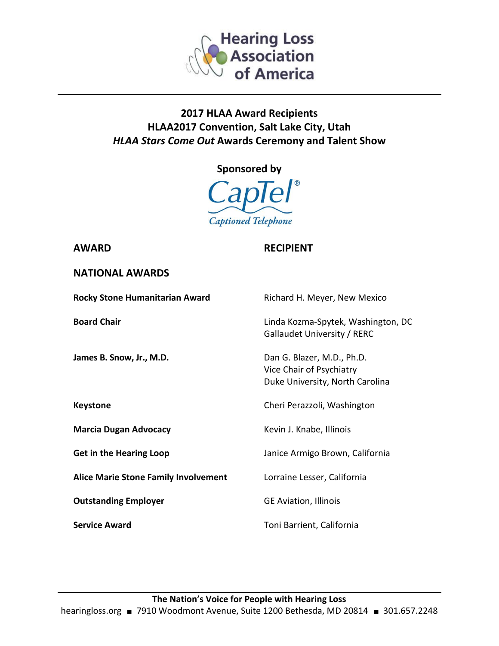

## **2017 HLAA Award Recipients HLAA2017 Convention, Salt Lake City, Utah** *HLAA Stars Come Out* **Awards Ceremony and Talent Show**





## **AWARD RECIPIENT**

| <b>NATIONAL AWARDS</b> |  |
|------------------------|--|
|------------------------|--|

| <b>Rocky Stone Humanitarian Award</b>       | Richard H. Meyer, New Mexico                                                              |
|---------------------------------------------|-------------------------------------------------------------------------------------------|
| <b>Board Chair</b>                          | Linda Kozma-Spytek, Washington, DC<br>Gallaudet University / RERC                         |
| James B. Snow, Jr., M.D.                    | Dan G. Blazer, M.D., Ph.D.<br>Vice Chair of Psychiatry<br>Duke University, North Carolina |
| <b>Keystone</b>                             | Cheri Perazzoli, Washington                                                               |
| <b>Marcia Dugan Advocacy</b>                | Kevin J. Knabe, Illinois                                                                  |
| <b>Get in the Hearing Loop</b>              | Janice Armigo Brown, California                                                           |
| <b>Alice Marie Stone Family Involvement</b> | Lorraine Lesser, California                                                               |
| <b>Outstanding Employer</b>                 | <b>GE Aviation, Illinois</b>                                                              |
| <b>Service Award</b>                        | Toni Barrient, California                                                                 |